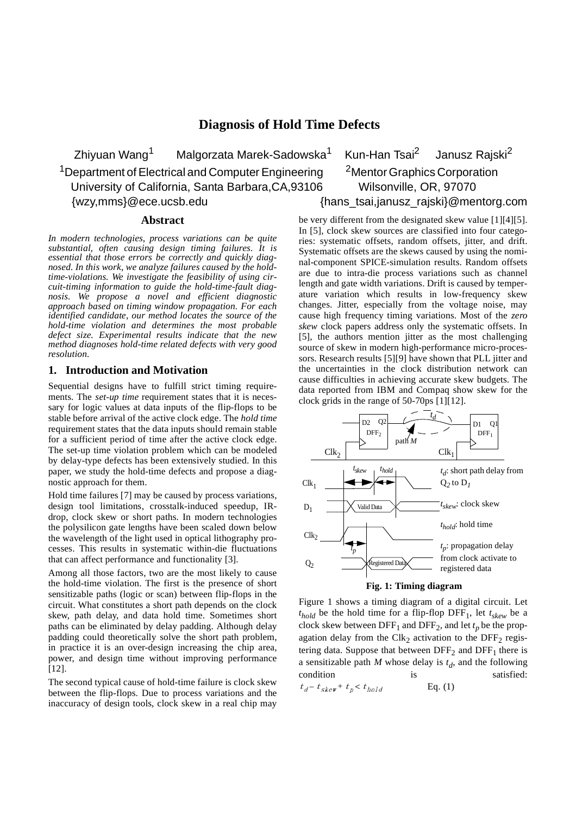# **Diagnosis of Hold Time Defects**

Zhiyuan Wang<sup>1</sup> Malgorzata Marek-Sadowska<sup>1</sup> Kun-Han Tsai<sup>2</sup> Janusz Rajski<sup>2</sup> <sup>1</sup>Department of Electrical and Computer Engineering <sup>2</sup>Mentor Graphics Corporation University of California, Santa Barbara,CA,93106 Wilsonville, OR, 97070 {wzy,mms}@ece.ucsb.edu {hans\_tsai,janusz\_rajski}@mentorg.com

#### **Abstract**

*In modern technologies, process variations can be quite substantial, often causing design timing failures. It is essential that those errors be correctly and quickly diagnosed. In this work, we analyze failures caused by the holdtime-violations. We investigate the feasibility of using circuit-timing information to guide the hold-time-fault diagnosis. We propose a novel and efficient diagnostic approach based on timing window propagation. For each identified candidate, our method locates the source of the hold-time violation and determines the most probable defect size. Experimental results indicate that the new method diagnoses hold-time related defects with very good resolution.*

# **1. Introduction and Motivation**

Sequential designs have to fulfill strict timing requirements. The *set-up time* requirement states that it is necessary for logic values at data inputs of the flip-flops to be stable before arrival of the active clock edge. The *hold time* requirement states that the data inputs should remain stable for a sufficient period of time after the active clock edge. The set-up time violation problem which can be modeled by delay-type defects has been extensively studied. In this paper, we study the hold-time defects and propose a diagnostic approach for them.

Hold time failures [7] may be caused by process variations, design tool limitations, crosstalk-induced speedup, IRdrop, clock skew or short paths. In modern technologies the polysilicon gate lengths have been scaled down below the wavelength of the light used in optical lithography processes. This results in systematic within-die fluctuations that can affect performance and functionality [3].

Among all those factors, two are the most likely to cause the hold-time violation. The first is the presence of short sensitizable paths (logic or scan) between flip-flops in the circuit. What constitutes a short path depends on the clock skew, path delay, and data hold time. Sometimes short paths can be eliminated by delay padding. Although delay padding could theoretically solve the short path problem, in practice it is an over-design increasing the chip area, power, and design time without improving performance [12].

The second typical cause of hold-time failure is clock skew between the flip-flops. Due to process variations and the inaccuracy of design tools, clock skew in a real chip may

be very different from the designated skew value [1][4][5]. In [5], clock skew sources are classified into four categories: systematic offsets, random offsets, jitter, and drift. Systematic offsets are the skews caused by using the nominal-component SPICE-simulation results. Random offsets are due to intra-die process variations such as channel length and gate width variations. Drift is caused by temperature variation which results in low-frequency skew changes. Jitter, especially from the voltage noise, may cause high frequency timing variations. Most of the *zero skew* clock papers address only the systematic offsets. In [5], the authors mention jitter as the most challenging source of skew in modern high-performance micro-processors. Research results [5][9] have shown that PLL jitter and the uncertainties in the clock distribution network can cause difficulties in achieving accurate skew budgets. The data reported from IBM and Compaq show skew for the clock grids in the range of 50-70ps [1][12].





Figure 1 shows a timing diagram of a digital circuit. Let  $t_{hold}$  be the hold time for a flip-flop DFF<sub>1</sub>, let  $t_{skew}$  be a clock skew between  $\text{DFF}_1$  and  $\text{DFF}_2$ , and let  $t_p$  be the propagation delay from the Clk<sub>2</sub> activation to the DFF<sub>2</sub> registering data. Suppose that between  $\text{DFF}_2$  and  $\text{DFF}_1$  there is a sensitizable path *M* whose delay is  $t_d$ , and the following condition is satisfied:

$$
t_{d} - t_{skew} + t_{p} < t_{hold} \qquad \text{Eq. (1)}
$$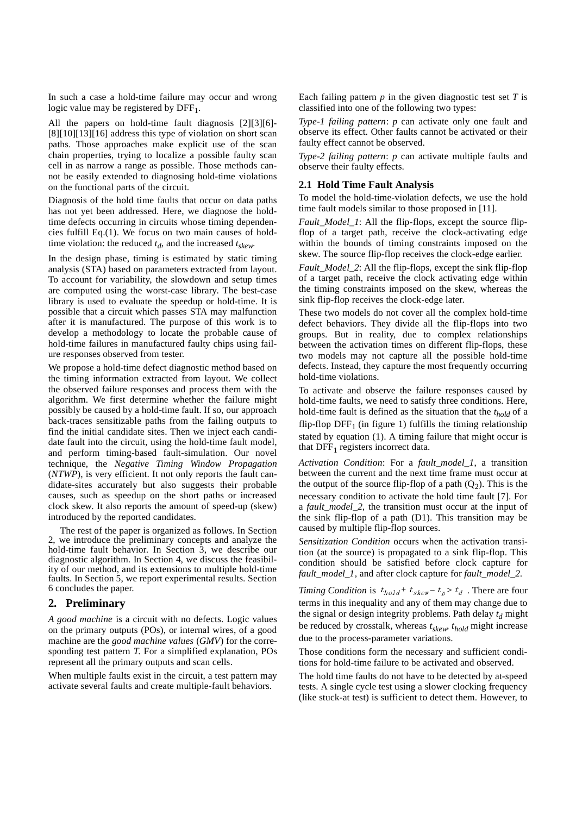In such a case a hold-time failure may occur and wrong logic value may be registered by  $\text{DFF}_1$ .

All the papers on hold-time fault diagnosis [2][3][6]- [8][10][13][16] address this type of violation on short scan paths. Those approaches make explicit use of the scan chain properties, trying to localize a possible faulty scan cell in as narrow a range as possible. Those methods cannot be easily extended to diagnosing hold-time violations on the functional parts of the circuit.

Diagnosis of the hold time faults that occur on data paths has not yet been addressed. Here, we diagnose the holdtime defects occurring in circuits whose timing dependencies fulfill Eq.(1). We focus on two main causes of holdtime violation: the reduced  $t_d$ , and the increased  $t_{skew}$ .

In the design phase, timing is estimated by static timing analysis (STA) based on parameters extracted from layout. To account for variability, the slowdown and setup times are computed using the worst-case library. The best-case library is used to evaluate the speedup or hold-time. It is possible that a circuit which passes STA may malfunction after it is manufactured. The purpose of this work is to develop a methodology to locate the probable cause of hold-time failures in manufactured faulty chips using failure responses observed from tester.

We propose a hold-time defect diagnostic method based on the timing information extracted from layout. We collect the observed failure responses and process them with the algorithm. We first determine whether the failure might possibly be caused by a hold-time fault. If so, our approach back-traces sensitizable paths from the failing outputs to find the initial candidate sites. Then we inject each candidate fault into the circuit, using the hold-time fault model, and perform timing-based fault-simulation. Our novel technique, the *Negative Timing Window Propagation* (*NTWP*), is very efficient. It not only reports the fault candidate-sites accurately but also suggests their probable causes, such as speedup on the short paths or increased clock skew. It also reports the amount of speed-up (skew) introduced by the reported candidates.

The rest of the paper is organized as follows. In Section 2, we introduce the preliminary concepts and analyze the hold-time fault behavior. In Section 3, we describe our diagnostic algorithm. In Section 4, we discuss the feasibility of our method, and its extensions to multiple hold-time faults. In Section 5, we report experimental results. Section 6 concludes the paper.

# **2. Preliminary**

*A good machine* is a circuit with no defects. Logic values on the primary outputs (POs), or internal wires, of a good machine are the *good machine values* (*GMV*) for the corresponding test pattern *T*. For a simplified explanation, POs represent all the primary outputs and scan cells.

When multiple faults exist in the circuit, a test pattern may activate several faults and create multiple-fault behaviors.

Each failing pattern  $p$  in the given diagnostic test set  $T$  is classified into one of the following two types:

*Type-1 failing pattern*: *p* can activate only one fault and observe its effect. Other faults cannot be activated or their faulty effect cannot be observed.

*Type-2 failing pattern*: *p* can activate multiple faults and observe their faulty effects.

# **2.1 Hold Time Fault Analysis**

To model the hold-time-violation defects, we use the hold time fault models similar to those proposed in [11].

*Fault\_Model\_1*: All the flip-flops, except the source flipflop of a target path, receive the clock-activating edge within the bounds of timing constraints imposed on the skew. The source flip-flop receives the clock-edge earlier.

*Fault\_Model\_2*: All the flip-flops, except the sink flip-flop of a target path, receive the clock activating edge within the timing constraints imposed on the skew, whereas the sink flip-flop receives the clock-edge later.

These two models do not cover all the complex hold-time defect behaviors. They divide all the flip-flops into two groups. But in reality, due to complex relationships between the activation times on different flip-flops, these two models may not capture all the possible hold-time defects. Instead, they capture the most frequently occurring hold-time violations.

To activate and observe the failure responses caused by hold-time faults, we need to satisfy three conditions. Here, hold-time fault is defined as the situation that the *thold* of a flip-flop  $DFF_1$  (in figure 1) fulfills the timing relationship stated by equation (1). A timing failure that might occur is that  $\text{DFF}_1$  registers incorrect data.

*Activation Condition*: For a *fault\_model\_1*, a transition between the current and the next time frame must occur at the output of the source flip-flop of a path  $(Q_2)$ . This is the necessary condition to activate the hold time fault [7]. For a *fault\_model\_2*, the transition must occur at the input of the sink flip-flop of a path (D1). This transition may be caused by multiple flip-flop sources.

*Sensitization Condition* occurs when the activation transition (at the source) is propagated to a sink flip-flop. This condition should be satisfied before clock capture for *fault\_model\_1*, and after clock capture for *fault\_model\_2*.

*Timing Condition* is  $t_{hold} + t_{skew} - t_p > t_d$ . There are four terms in this inequality and any of them may change due to the signal or design integrity problems. Path delay  $t_d$  might be reduced by crosstalk, whereas  $t_{skew}$ ,  $t_{hold}$  might increase due to the process-parameter variations.

Those conditions form the necessary and sufficient conditions for hold-time failure to be activated and observed.

The hold time faults do not have to be detected by at-speed tests. A single cycle test using a slower clocking frequency (like stuck-at test) is sufficient to detect them. However, to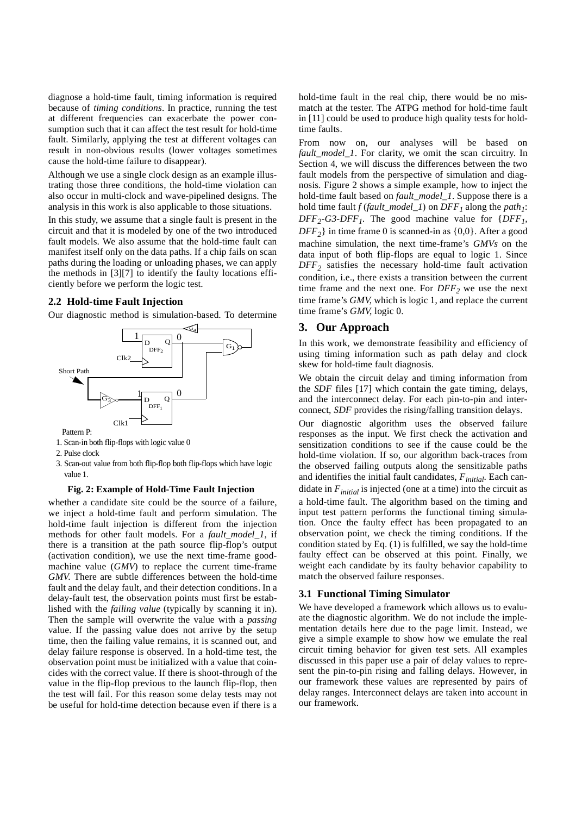diagnose a hold-time fault, timing information is required because of *timing conditions*. In practice, running the test at different frequencies can exacerbate the power consumption such that it can affect the test result for hold-time fault. Similarly, applying the test at different voltages can result in non-obvious results (lower voltages sometimes cause the hold-time failure to disappear).

Although we use a single clock design as an example illustrating those three conditions, the hold-time violation can also occur in multi-clock and wave-pipelined designs. The analysis in this work is also applicable to those situations.

In this study, we assume that a single fault is present in the circuit and that it is modeled by one of the two introduced fault models. We also assume that the hold-time fault can manifest itself only on the data paths. If a chip fails on scan paths during the loading or unloading phases, we can apply the methods in [3][7] to identify the faulty locations efficiently before we perform the logic test.

### **2.2 Hold-time Fault Injection**

Our diagnostic method is simulation-based. To determine



Pattern P:

- 1. Scan-in both flip-flops with logic value 0
- 2. Pulse clock
- 3. Scan-out value from both flip-flop both flip-flops which have logic value 1.

#### **Fig. 2: Example of Hold-Time Fault Injection**

whether a candidate site could be the source of a failure, we inject a hold-time fault and perform simulation. The hold-time fault injection is different from the injection methods for other fault models. For a *fault\_model\_1*, if there is a transition at the path source flip-flop's output (activation condition), we use the next time-frame goodmachine value (*GMV*) to replace the current time-frame *GMV*. There are subtle differences between the hold-time fault and the delay fault, and their detection conditions. In a delay-fault test, the observation points must first be established with the *failing value* (typically by scanning it in). Then the sample will overwrite the value with a *passing* value. If the passing value does not arrive by the setup time, then the failing value remains, it is scanned out, and delay failure response is observed. In a hold-time test, the observation point must be initialized with a value that coincides with the correct value. If there is shoot-through of the value in the flip-flop previous to the launch flip-flop, then the test will fail. For this reason some delay tests may not be useful for hold-time detection because even if there is a hold-time fault in the real chip, there would be no mismatch at the tester. The ATPG method for hold-time fault in [11] could be used to produce high quality tests for holdtime faults.

From now on, our analyses will be based on *fault model 1*. For clarity, we omit the scan circuitry. In Section 4, we will discuss the differences between the two fault models from the perspective of simulation and diagnosis. Figure 2 shows a simple example, how to inject the hold-time fault based on *fault\_model\_1*. Suppose there is a hold time fault *f* (*fault\_model\_1*) on  $DFF_1$  along the *path<sub>1</sub>*: *DFF2-G3-DFF1*. The good machine value for {*DFF1, DFF2*} in time frame 0 is scanned-in as {0,0}. After a good machine simulation, the next time-frame's *GMVs* on the data input of both flip-flops are equal to logic 1. Since  $DFF<sub>2</sub>$  satisfies the necessary hold-time fault activation condition, i.e., there exists a transition between the current time frame and the next one. For  $DFF<sub>2</sub>$  we use the next time frame's *GMV*, which is logic 1, and replace the current time frame's *GMV*, logic 0.

# **3. Our Approach**

In this work, we demonstrate feasibility and efficiency of using timing information such as path delay and clock skew for hold-time fault diagnosis.

We obtain the circuit delay and timing information from the *SDF* files [17] which contain the gate timing, delays, and the interconnect delay. For each pin-to-pin and interconnect, *SDF* provides the rising/falling transition delays.

Our diagnostic algorithm uses the observed failure responses as the input. We first check the activation and sensitization conditions to see if the cause could be the hold-time violation. If so, our algorithm back-traces from the observed failing outputs along the sensitizable paths and identifies the initial fault candidates, *Finitial*. Each candidate in  $F_{initial}$  is injected (one at a time) into the circuit as a hold-time fault. The algorithm based on the timing and input test pattern performs the functional timing simulation. Once the faulty effect has been propagated to an observation point, we check the timing conditions. If the condition stated by Eq. (1) is fulfilled, we say the hold-time faulty effect can be observed at this point. Finally, we weight each candidate by its faulty behavior capability to match the observed failure responses.

# **3.1 Functional Timing Simulator**

We have developed a framework which allows us to evaluate the diagnostic algorithm. We do not include the implementation details here due to the page limit. Instead, we give a simple example to show how we emulate the real circuit timing behavior for given test sets. All examples discussed in this paper use a pair of delay values to represent the pin-to-pin rising and falling delays. However, in our framework these values are represented by pairs of delay ranges. Interconnect delays are taken into account in our framework.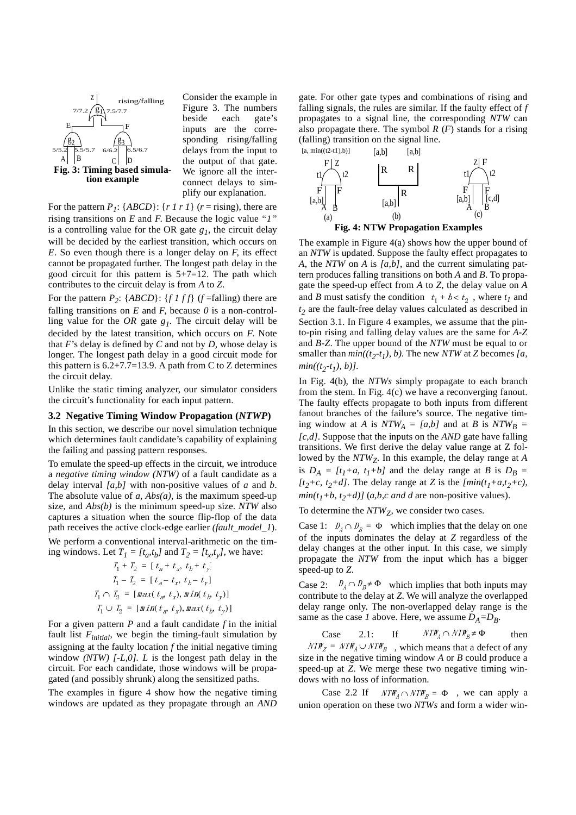

Consider the example in Figure 3. The numbers beside each gate's inputs are the corresponding rising/falling delays from the input to the output of that gate. We ignore all the interconnect delays to simplify our explanation.

For the pattern  $P_1$ : { $ABCD$ }: { $r 1 r 1$ } ( $r =$  rising), there are rising transitions on *E* and *F*. Because the logic value *"1"* is a controlling value for the OR gate  $g_1$ , the circuit delay will be decided by the earliest transition, which occurs on *E*. So even though there is a longer delay on *F*, its effect cannot be propagated further. The longest path delay in the good circuit for this pattern is  $5+7=12$ . The path which contributes to the circuit delay is from *A* to *Z*.

For the pattern  $P_2$ : { $ABCD$ }: { $f 1 f f$ } ( $f$  =falling) there are falling transitions on  $E$  and  $F$ , because  $\theta$  is a non-controlling value for the  $OR$  gate  $g_1$ . The circuit delay will be decided by the latest transition, which occurs on *F*. Note that *F*'s delay is defined by *C* and not by *D,* whose delay is longer. The longest path delay in a good circuit mode for this pattern is  $6.2+7.7=13.9$ . A path from C to Z determines the circuit delay.

Unlike the static timing analyzer, our simulator considers the circuit's functionality for each input pattern.

#### **3.2 Negative Timing Window Propagation (***NTWP***)**

In this section, we describe our novel simulation technique which determines fault candidate's capability of explaining the failing and passing pattern responses.

To emulate the speed-up effects in the circuit, we introduce a *negative timing window (NTW)* of a fault candidate as a delay interval *[a,b]* with non-positive values of *a* and *b*. The absolute value of *a*, *Abs(a)*, is the maximum speed-up size, and *Abs(b)* is the minimum speed-up size. *NTW* also captures a situation when the source flip-flop of the data path receives the active clock-edge earlier *(fault\_model\_1*).

We perform a conventional interval-arithmetic on the timing windows. Let  $T_1 = [t_a, t_b]$  and  $T_2 = [t_x, t_y]$ , we have:

$$
T_1 + T_2 = [t_a + t_x, t_b + t_y]
$$
  
\n
$$
T_1 - T_2 = [t_a - t_x, t_b - t_y]
$$
  
\n
$$
T_1 \cap T_2 = [\max(t_a, t_x), \min(t_b, t_y)]
$$
  
\n
$$
T_1 \cup T_2 = [\min(t_a, t_x), \max(t_b, t_y)]
$$

For a given pattern *P* and a fault candidate *f* in the initial fault list  $F_{initial}$ , we begin the timing-fault simulation by assigning at the faulty location *f* the initial negative timing window *(NTW) [-L,0]. L* is the longest path delay in the circuit. For each candidate, those windows will be propagated (and possibly shrunk) along the sensitized paths.

The examples in figure 4 show how the negative timing windows are updated as they propagate through an *AND* gate. For other gate types and combinations of rising and falling signals, the rules are similar. If the faulty effect of *f* propagates to a signal line, the corresponding *NTW* can also propagate there. The symbol *R* (*F*) stands for a rising (falling) transition on the signal line.



The example in Figure 4(a) shows how the upper bound of an *NTW* is updated. Suppose the faulty effect propagates to *A*, the *NTW* on *A* is *[a,b],* and the current simulating pattern produces falling transitions on both *A* and *B*. To propagate the speed-up effect from *A* to *Z*, the delay value on *A* and *B* must satisfy the condition  $t_1 + b < t_2$ , where  $t_1$  and  $t_1$  are the fault free delay values calculated as described in  $t_2$  are the fault-free delay values calculated as described in Section 3.1. In Figure 4 examples, we assume that the pinto-pin rising and falling delay values are the same for *A-Z* and *B-Z*. The upper bound of the *NTW* must be equal to or smaller than  $min((t_2-t_1), b)$ . The new *NTW* at *Z* becomes [a,  $min((t_2-t_1), b)$ ].

In Fig. 4(b), the *NTWs* simply propagate to each branch from the stem. In Fig. 4(c) we have a reconverging fanout. The faulty effects propagate to both inputs from different fanout branches of the failure's source. The negative timing window at *A* is  $NTW_A = [a,b]$  and at *B* is  $NTW_B =$ *[c,d]*. Suppose that the inputs on the *AND* gate have falling transitions. We first derive the delay value range at Z followed by the *NTWZ*. In this example, the delay range at *A* is  $D_A = [t_1 + a, t_1 + b]$  and the delay range at *B* is  $D_B =$  $[t_2+c, t_2+d]$ . The delay range at *Z* is the  $\text{fmin}(t_1+a,t_2+c)$ ,  $min(t_1+b, t_2+d)$  (*a,b,c and d* are non-positive values).

To determine the  $NTW_Z$ , we consider two cases.

Case 1:  $D_A \cap D_B = \Phi$  which implies that the delay on one<br>of the inputs dominates the delay at Z recordless of the of the inputs dominates the delay at *Z* regardless of the delay changes at the other input. In this case, we simply propagate the *NTW* from the input which has a bigger speed-up to *Z*.

Case 2:  $P_A \cap P_B \neq \Phi$  which implies that both inputs may contribute to the delay at *Z*. We will analyze the overlapped delay range only. The non-overlapped delay range is the same as the case *1* above. Here, we assume  $D_A = D_B$ .

Case 2.1: If 
$$
NTW_A \cap NTW_B \neq \Phi
$$
 then

 $T_f$   $NTW_A \cap NTW_B \neq \Phi$  then<br>, which means that a defect of any size in the negative timing window *A* or *B* could produce a speed-up at *Z*. We merge these two negative timing windows with no loss of information.  $NTW_Z = NTW_A \cup NTW_B$ 

Case 2.2 If  $NTW_A \cap NTW_B = \Phi$ , we can apply a<br>consistence these two NTWs and form a wider win union operation on these two *NTWs* and form a wider win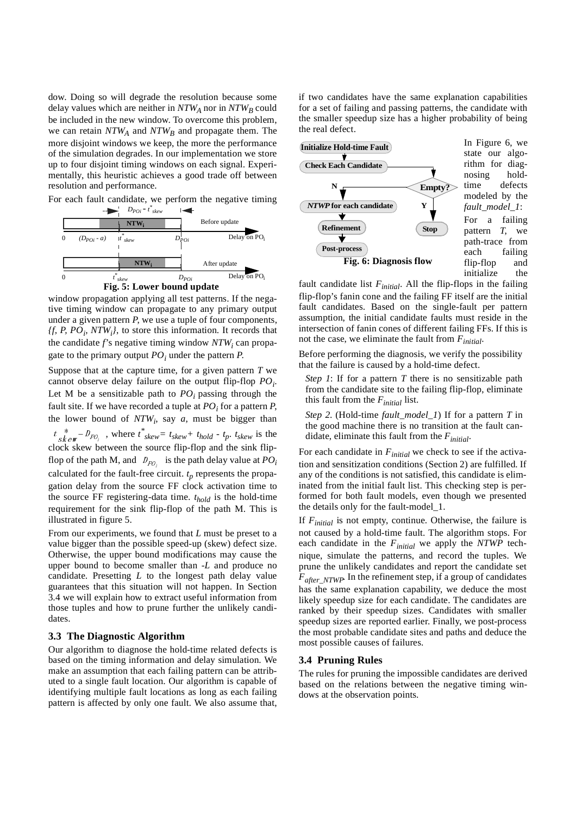dow. Doing so will degrade the resolution because some delay values which are neither in  $NTW_A$  nor in  $NTW_B$  could be included in the new window. To overcome this problem, we can retain  $NTW_A$  and  $NTW_B$  and propagate them. The more disjoint windows we keep, the more the performance of the simulation degrades. In our implementation we store up to four disjoint timing windows on each signal. Experimentally, this heuristic achieves a good trade off between resolution and performance.

For each fault candidate, we perform the negative timing



window propagation applying all test patterns. If the negative timing window can propagate to any primary output under a given pattern *P*, we use a tuple of four components, *{f, P, PO<sub>i</sub>, NTW<sub>i</sub>}*, to store this information. It records that the candidate *f*'s negative timing window  $NTW_i$  can propagate to the primary output  $PO_i$  under the pattern  $P$ .

Suppose that at the capture time, for a given pattern *T* we cannot observe delay failure on the output flip-flop  $PO_i$ . Let M be a sensitizable path to  $PO_i$  passing through the fault site. If we have recorded a tuple at  $PO_i$  for a pattern  $P$ , the lower bound of *NTWi* , say *a*, must be bigger than  $t_{skew}^* - D_{PQ_i}$ , where  $t_{skew}^* = t_{skew} + t_{hold} - t_p$ .  $t_{skew}$  is the lock skew between the source flip-flop and the sink flipclock skew between the source flip-flop and the sink flipflop of the path M, and  $D_{p_0}$  is the path delay value at  $PO_i$ calculated for the fault-free circuit.  $t_p$  represents the propagation delay from the source FF clock activation time to the source FF registering-data time. *thold* is the hold-time requirement for the sink flip-flop of the path M. This is illustrated in figure 5.

From our experiments, we found that *L* must be preset to a value bigger than the possible speed-up (skew) defect size. Otherwise, the upper bound modifications may cause the upper bound to become smaller than -*L* and produce no candidate. Presetting *L* to the longest path delay value guarantees that this situation will not happen. In Section 3.4 we will explain how to extract useful information from those tuples and how to prune further the unlikely candidates.

#### **3.3 The Diagnostic Algorithm**

Our algorithm to diagnose the hold-time related defects is based on the timing information and delay simulation. We make an assumption that each failing pattern can be attributed to a single fault location. Our algorithm is capable of identifying multiple fault locations as long as each failing pattern is affected by only one fault. We also assume that,

if two candidates have the same explanation capabilities for a set of failing and passing patterns, the candidate with the smaller speedup size has a higher probability of being the real defect.



In Figure 6, we state our algorithm for diagnosing holdtime defects modeled by the *fault\_model\_1*: For a failing pattern *T*, we path-trace from each failing flip-flop and initialize the

fault candidate list  $F_{initial}$ . All the flip-flops in the failing flip-flop's fanin cone and the failing FF itself are the initial fault candidates. Based on the single-fault per pattern assumption, the initial candidate faults must reside in the intersection of fanin cones of different failing FFs. If this is not the case, we eliminate the fault from *Finitial*.

Before performing the diagnosis, we verify the possibility that the failure is caused by a hold-time defect.

*Step 1*: If for a pattern *T* there is no sensitizable path from the candidate site to the failing flip-flop, eliminate this fault from the *Finitial* list.

*Step 2*. (Hold-time *fault\_model\_1*) If for a pattern *T* in the good machine there is no transition at the fault candidate, eliminate this fault from the  $F_{initial}$ .

For each candidate in *Finitial* we check to see if the activation and sensitization conditions (Section 2) are fulfilled. If any of the conditions is not satisfied, this candidate is eliminated from the initial fault list. This checking step is performed for both fault models, even though we presented the details only for the fault-model\_1.

If *Finitial* is not empty, continue. Otherwise, the failure is not caused by a hold-time fault. The algorithm stops. For each candidate in the *Finitial* we apply the *NTWP* technique, simulate the patterns, and record the tuples. We prune the unlikely candidates and report the candidate set *Fafter\_NTWP*. In the refinement step, if a group of candidates has the same explanation capability, we deduce the most likely speedup size for each candidate. The candidates are ranked by their speedup sizes. Candidates with smaller speedup sizes are reported earlier. Finally, we post-process the most probable candidate sites and paths and deduce the most possible causes of failures.

# **3.4 Pruning Rules**

The rules for pruning the impossible candidates are derived based on the relations between the negative timing windows at the observation points.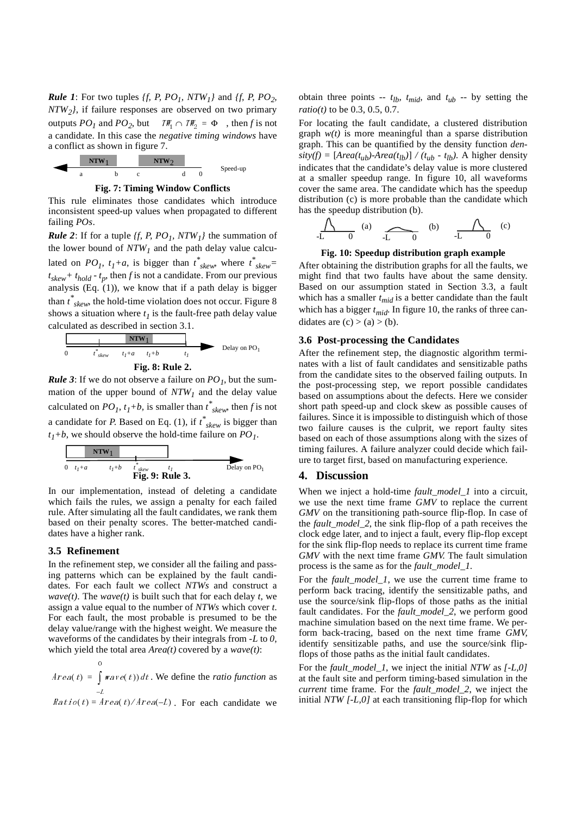*Rule 1*: For two tuples *{f, P, PO1, NTW1}* and *{f, P, PO2, NTW<sub>2</sub>*, if failure responses are observed on two primary outputs *PO<sub>1</sub>* and *PO<sub>2</sub>*, but  $T W_1 \cap T W_2 = \Phi$ , then *f* is not<br>a condidate. In this case the nagative timing windows have a candidate. In this case the *negative timing windows* have a conflict as shown in figure 7.



**Fig. 7: Timing Window Conflicts**

This rule eliminates those candidates which introduce inconsistent speed-up values when propagated to different failing *POs*.

*Rule 2*: If for a tuple *{f, P, PO<sub>1</sub>, NTW<sub>1</sub>}* the summation of the lower bound of  $NTW_1$  and the path delay value calculated on  $PO_1$ ,  $t_1+a$ , is bigger than  $t^*_{skew}$ , where  $t^*_{skew}$  $t_{skew}$ +  $t_{hold}$  -  $t_p$ , then *f* is not a candidate. From our previous analysis (Eq. (1)), we know that if a path delay is bigger than *t \* skew*, the hold-time violation does not occur. Figure 8 shows a situation where  $t_1$  is the fault-free path delay value calculated as described in section 3.1.



**Rule 3**: If we do not observe a failure on  $PO<sub>I</sub>$ , but the summation of the upper bound of  $NTW<sub>1</sub>$  and the delay value calculated on  $PO_1$ ,  $t_1 + b$ , is smaller than  $t^*_{\ s\&\text{new}}$ , then *f* is not a candidate for *P*. Based on Eq. (1), if *t \* skew* is bigger than  $t_1 + b$ , we should observe the hold-time failure on *PO<sub>1</sub>*.



In our implementation, instead of deleting a candidate which fails the rules, we assign a penalty for each failed rule. After simulating all the fault candidates, we rank them based on their penalty scores. The better-matched candidates have a higher rank.

#### **3.5 Refinement**

In the refinement step, we consider all the failing and passing patterns which can be explained by the fault candidates. For each fault we collect *NTWs* and construct a *wave(t)*. The *wave(t)* is built such that for each delay *t*, we assign a value equal to the number of *NTWs* which cover *t*. For each fault, the most probable is presumed to be the delay value/range with the highest weight. We measure the waveforms of the candidates by their integrals from -*L* to *0*, which yield the total area *Area(t)* covered by a *wave(t)*:

 $Area(t) = \int_{-L}^{\infty} \pi a v e(t) dt$ . We define the *ratio function* as

 $\text{Area}(t)/\text{Area}(-L)$ . For each candidate we  $Ratio(t) = Area(t)/Area(-L)$ 

obtain three points  $-t_{lb}$ ,  $t_{mid}$ , and  $t_{ub}$  -- by setting the *ratio(t)* to be 0.3, 0.5, 0.7.

For locating the fault candidate, a clustered distribution graph  $w(t)$  is more meaningful than a sparse distribution graph. This can be quantified by the density function *den* $sity(f) = [Area(t_{ub})$ -*Area*( $t_{lb}$ )] / ( $t_{ub}$  -  $t_{lb}$ ). A higher density indicates that the candidate's delay value is more clustered at a smaller speedup range. In figure 10, all waveforms cover the same area. The candidate which has the speedup distribution (c) is more probable than the candidate which has the speedup distribution (b).

-L 0 -L 0 -L 0 (a) (b) (c)

**Fig. 10: Speedup distribution graph example**

After obtaining the distribution graphs for all the faults, we might find that two faults have about the same density. Based on our assumption stated in Section 3.3, a fault which has a smaller  $t_{mid}$  is a better candidate than the fault which has a bigger  $t_{mid}$ . In figure 10, the ranks of three candidates are  $(c)$  >  $(a)$  >  $(b)$ .

#### **3.6 Post-processing the Candidates**

After the refinement step, the diagnostic algorithm terminates with a list of fault candidates and sensitizable paths from the candidate sites to the observed failing outputs. In the post-processing step, we report possible candidates based on assumptions about the defects. Here we consider short path speed-up and clock skew as possible causes of failures. Since it is impossible to distinguish which of those two failure causes is the culprit, we report faulty sites based on each of those assumptions along with the sizes of timing failures. A failure analyzer could decide which failure to target first, based on manufacturing experience.

### **4. Discussion**

When we inject a hold-time *fault model 1* into a circuit, we use the next time frame *GMV* to replace the current *GMV* on the transitioning path-source flip-flop. In case of the *fault\_model\_2*, the sink flip-flop of a path receives the clock edge later, and to inject a fault, every flip-flop except for the sink flip-flop needs to replace its current time frame *GMV* with the next time frame *GMV*. The fault simulation process is the same as for the *fault\_model\_1*.

For the *fault\_model\_1*, we use the current time frame to perform back tracing, identify the sensitizable paths, and use the source/sink flip-flops of those paths as the initial fault candidates. For the *fault\_model\_2*, we perform good machine simulation based on the next time frame. We perform back-tracing, based on the next time frame *GMV,* identify sensitizable paths, and use the source/sink flipflops of those paths as the initial fault candidates.

For the *fault\_model\_1*, we inject the initial *NTW* as *[-L,0]* at the fault site and perform timing-based simulation in the *current* time frame. For the *fault\_model\_2*, we inject the initial *NTW [-L,0]* at each transitioning flip-flop for which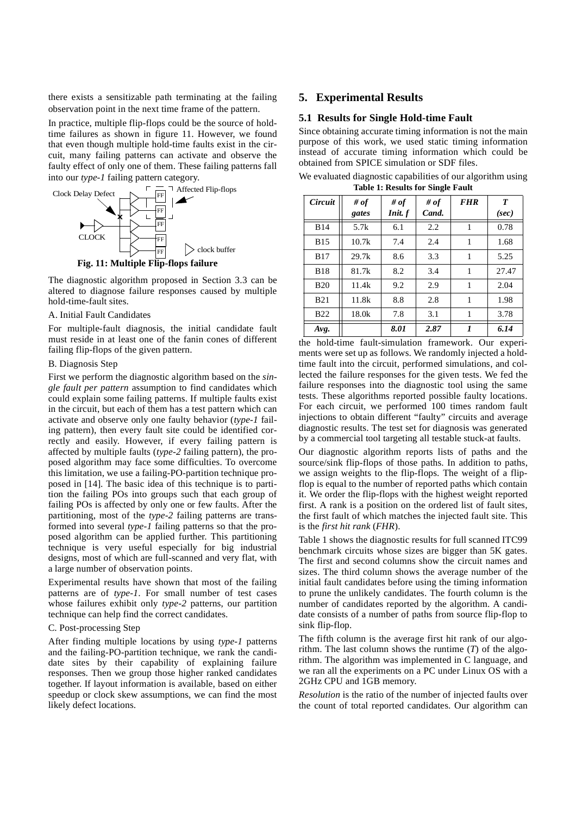there exists a sensitizable path terminating at the failing observation point in the next time frame of the pattern.

In practice, multiple flip-flops could be the source of holdtime failures as shown in figure 11. However, we found that even though multiple hold-time faults exist in the circuit, many failing patterns can activate and observe the faulty effect of only one of them. These failing patterns fall into our *type-1* failing pattern category.



**Fig. 11: Multiple Flip-flops failure**

The diagnostic algorithm proposed in Section 3.3 can be altered to diagnose failure responses caused by multiple hold-time-fault sites.

#### A. Initial Fault Candidates

For multiple-fault diagnosis, the initial candidate fault must reside in at least one of the fanin cones of different failing flip-flops of the given pattern.

# B. Diagnosis Step

First we perform the diagnostic algorithm based on the *single fault per pattern* assumption to find candidates which could explain some failing patterns. If multiple faults exist in the circuit, but each of them has a test pattern which can activate and observe only one faulty behavior (*type-1* failing pattern), then every fault site could be identified correctly and easily. However, if every failing pattern is affected by multiple faults (*type-2* failing pattern), the proposed algorithm may face some difficulties. To overcome this limitation, we use a failing-PO-partition technique proposed in [14]. The basic idea of this technique is to partition the failing POs into groups such that each group of failing POs is affected by only one or few faults. After the partitioning, most of the *type-2* failing patterns are transformed into several *type-1* failing patterns so that the proposed algorithm can be applied further. This partitioning technique is very useful especially for big industrial designs, most of which are full-scanned and very flat, with a large number of observation points.

Experimental results have shown that most of the failing patterns are of *type-1*. For small number of test cases whose failures exhibit only *type-2* patterns, our partition technique can help find the correct candidates.

#### C. Post-processing Step

After finding multiple locations by using *type-1* patterns and the failing-PO-partition technique, we rank the candidate sites by their capability of explaining failure responses. Then we group those higher ranked candidates together. If layout information is available, based on either speedup or clock skew assumptions, we can find the most likely defect locations.

# **5. Experimental Results**

#### **5.1 Results for Single Hold-time Fault**

Since obtaining accurate timing information is not the main purpose of this work, we used static timing information instead of accurate timing information which could be obtained from SPICE simulation or SDF files.

We evaluated diagnostic capabilities of our algorithm using **Table 1: Results for Single Fault**

| Circuit    | # of  | # of    | # of  | <b>FHR</b>   | $\boldsymbol{T}$ |
|------------|-------|---------|-------|--------------|------------------|
|            | gates | Init. f | Cand. |              | (sec)            |
| <b>B14</b> | 5.7k  | 6.1     | 2.2   | 1            | 0.78             |
| <b>B15</b> | 10.7k | 7.4     | 2.4   | 1            | 1.68             |
| <b>B17</b> | 29.7k | 8.6     | 3.3   | 1            | 5.25             |
| <b>B18</b> | 81.7k | 8.2     | 3.4   | 1            | 27.47            |
| <b>B20</b> | 11.4k | 9.2     | 2.9   | 1            | 2.04             |
| <b>B21</b> | 11.8k | 8.8     | 2.8   | 1            | 1.98             |
| <b>B22</b> | 18.0k | 7.8     | 3.1   | 1            | 3.78             |
| Avg.       |       | 8.01    | 2.87  | $\mathbf{I}$ | 6.14             |

the hold-time fault-simulation framework. Our experiments were set up as follows. We randomly injected a holdtime fault into the circuit, performed simulations, and collected the failure responses for the given tests. We fed the failure responses into the diagnostic tool using the same tests. These algorithms reported possible faulty locations. For each circuit, we performed 100 times random fault injections to obtain different "faulty" circuits and average diagnostic results. The test set for diagnosis was generated by a commercial tool targeting all testable stuck-at faults.

Our diagnostic algorithm reports lists of paths and the source/sink flip-flops of those paths. In addition to paths, we assign weights to the flip-flops. The weight of a flipflop is equal to the number of reported paths which contain it. We order the flip-flops with the highest weight reported first. A rank is a position on the ordered list of fault sites, the first fault of which matches the injected fault site. This is the *first hit rank* (*FHR*).

Table 1 shows the diagnostic results for full scanned ITC99 benchmark circuits whose sizes are bigger than 5K gates. The first and second columns show the circuit names and sizes. The third column shows the average number of the initial fault candidates before using the timing information to prune the unlikely candidates. The fourth column is the number of candidates reported by the algorithm. A candidate consists of a number of paths from source flip-flop to sink flip-flop.

The fifth column is the average first hit rank of our algorithm. The last column shows the runtime (*T*) of the algorithm. The algorithm was implemented in C language, and we ran all the experiments on a PC under Linux OS with a 2GHz CPU and 1GB memory.

*Resolution* is the ratio of the number of injected faults over the count of total reported candidates. Our algorithm can